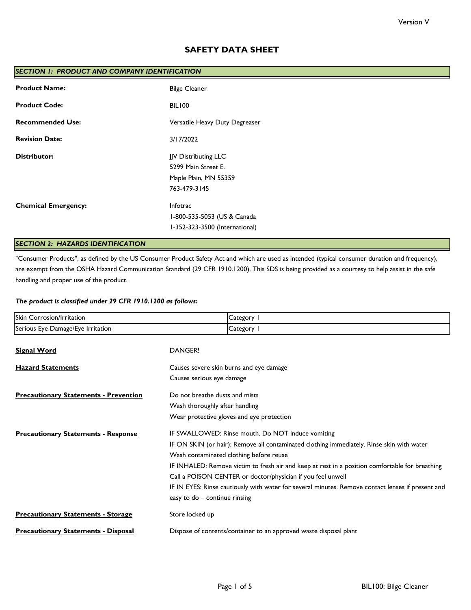# **SAFETY DATA SHEET**

| SECTION 1: PRODUCT AND COMPANY IDENTIFICATION |                                                                                      |  |
|-----------------------------------------------|--------------------------------------------------------------------------------------|--|
| <b>Product Name:</b>                          | <b>Bilge Cleaner</b>                                                                 |  |
| <b>Product Code:</b>                          | BIL100                                                                               |  |
| <b>Recommended Use:</b>                       | Versatile Heavy Duty Degreaser                                                       |  |
| <b>Revision Date:</b>                         | 3/17/2022                                                                            |  |
| <b>Distributor:</b>                           | JJV Distributing LLC<br>5299 Main Street E.<br>Maple Plain, MN 55359<br>763-479-3145 |  |
| <b>Chemical Emergency:</b>                    | Infotrac<br>1-800-535-5053 (US & Canada<br>I-352-323-3500 (International)            |  |

# *SECTION 2: HAZARDS IDENTIFICATION*

"Consumer Products", as defined by the US Consumer Product Safety Act and which are used as intended (typical consumer duration and frequency), are exempt from the OSHA Hazard Communication Standard (29 CFR 1910.1200). This SDS is being provided as a courtesy to help assist in the safe handling and proper use of the product.

## *The product is classified under 29 CFR 1910.1200 as follows:*

| Skin Corrosion/Irritation                    | Category I                                                                                        |  |
|----------------------------------------------|---------------------------------------------------------------------------------------------------|--|
| Serious Eye Damage/Eye Irritation            | Category I                                                                                        |  |
| <b>Signal Word</b>                           | DANGER!                                                                                           |  |
| <b>Hazard Statements</b>                     | Causes severe skin burns and eye damage                                                           |  |
|                                              | Causes serious eye damage                                                                         |  |
| <b>Precautionary Statements - Prevention</b> | Do not breathe dusts and mists                                                                    |  |
|                                              | Wash thoroughly after handling                                                                    |  |
|                                              | Wear protective gloves and eye protection                                                         |  |
| <b>Precautionary Statements - Response</b>   | IF SWALLOWED: Rinse mouth. Do NOT induce vomiting                                                 |  |
|                                              | IF ON SKIN (or hair): Remove all contaminated clothing immediately. Rinse skin with water         |  |
|                                              | Wash contaminated clothing before reuse                                                           |  |
|                                              | IF INHALED: Remove victim to fresh air and keep at rest in a position comfortable for breathing   |  |
|                                              | Call a POISON CENTER or doctor/physician if you feel unwell                                       |  |
|                                              | IF IN EYES: Rinse cautiously with water for several minutes. Remove contact lenses if present and |  |
|                                              | easy to do - continue rinsing                                                                     |  |
| <b>Precautionary Statements - Storage</b>    | Store locked up                                                                                   |  |
| <b>Precautionary Statements - Disposal</b>   | Dispose of contents/container to an approved waste disposal plant                                 |  |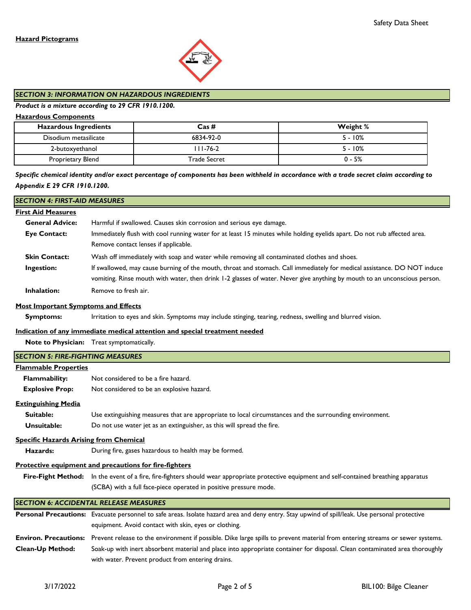

## *SECTION 3: INFORMATION ON HAZARDOUS INGREDIENTS*

## *Product is a mixture according to 29 CFR 1910.1200.*

## **Hazardous Components**

| <b>Hazardous Ingredients</b> | $\text{Cas}\,\#$ | Weight %  |
|------------------------------|------------------|-----------|
| Disodium metasilicate        | 6834-92-0        | $5 - 10%$ |
| 2-butoxyethanol              | III-76-2         | $5 - 10%$ |
| Proprietary Blend            | Trade Secret     | $0 - 5%$  |

# *Specific chemical identity and/or exact percentage of components has been withheld in accordance with a trade secret claim according to Appendix E 29 CFR 1910.1200.*

| <b>SECTION 4: FIRST-AID MEASURES</b>          |                                                                                                                                                     |
|-----------------------------------------------|-----------------------------------------------------------------------------------------------------------------------------------------------------|
| <b>First Aid Measures</b>                     |                                                                                                                                                     |
| <b>General Advice:</b>                        | Harmful if swallowed. Causes skin corrosion and serious eye damage.                                                                                 |
| <b>Eye Contact:</b>                           | Immediately flush with cool running water for at least 15 minutes while holding eyelids apart. Do not rub affected area.                            |
|                                               | Remove contact lenses if applicable.                                                                                                                |
| <b>Skin Contact:</b>                          | Wash off immediately with soap and water while removing all contaminated clothes and shoes.                                                         |
| Ingestion:                                    | If swallowed, may cause burning of the mouth, throat and stomach. Call immediately for medical assistance. DO NOT induce                            |
|                                               | vomiting. Rinse mouth with water, then drink 1-2 glasses of water. Never give anything by mouth to an unconscious person.                           |
| <b>Inhalation:</b>                            | Remove to fresh air.                                                                                                                                |
| <b>Most Important Symptoms and Effects</b>    |                                                                                                                                                     |
| <b>Symptoms:</b>                              | Irritation to eyes and skin. Symptoms may include stinging, tearing, redness, swelling and blurred vision.                                          |
|                                               | Indication of any immediate medical attention and special treatment needed                                                                          |
|                                               | Note to Physician: Treat symptomatically.                                                                                                           |
| <b>SECTION 5: FIRE-FIGHTING MEASURES</b>      |                                                                                                                                                     |
| <b>Flammable Properties</b>                   |                                                                                                                                                     |
| Flammability:                                 | Not considered to be a fire hazard.                                                                                                                 |
| <b>Explosive Prop:</b>                        | Not considered to be an explosive hazard.                                                                                                           |
| <b>Extinguishing Media</b>                    |                                                                                                                                                     |
| Suitable:                                     | Use extinguishing measures that are appropriate to local circumstances and the surrounding environment.                                             |
| Unsuitable:                                   | Do not use water jet as an extinguisher, as this will spread the fire.                                                                              |
| <b>Specific Hazards Arising from Chemical</b> |                                                                                                                                                     |
| Hazards:                                      | During fire, gases hazardous to health may be formed.                                                                                               |
|                                               | Protective equipment and precautions for fire-fighters                                                                                              |
|                                               | Fire-Fight Method: In the event of a fire, fire-fighters should wear appropriate protective equipment and self-contained breathing apparatus        |
|                                               | (SCBA) with a full face-piece operated in positive pressure mode.                                                                                   |
|                                               | <b>SECTION 6: ACCIDENTAL RELEASE MEASURES</b>                                                                                                       |
|                                               | Personal Precautions: Evacuate personnel to safe areas. Isolate hazard area and deny entry. Stay upwind of spill/leak. Use personal protective      |
|                                               | equipment. Avoid contact with skin, eyes or clothing.                                                                                               |
|                                               | Environ. Precautions: Prevent release to the environment if possible. Dike large spills to prevent material from entering streams or sewer systems. |
| Clean-Up Method:                              | Soak-up with inert absorbent material and place into appropriate container for disposal. Clean contaminated area thoroughly                         |
|                                               | with water. Prevent product from entering drains.                                                                                                   |
|                                               |                                                                                                                                                     |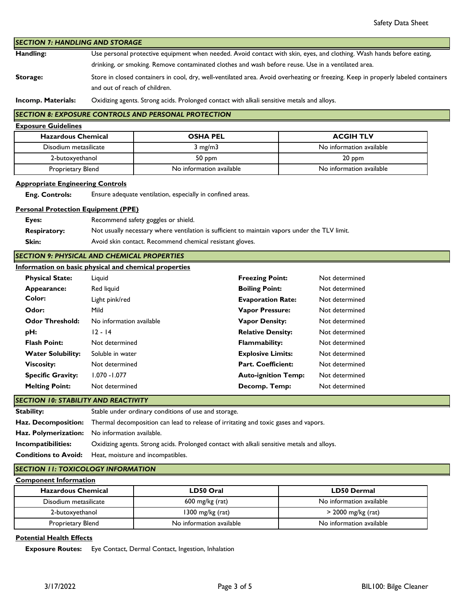| <b>SECTION 7: HANDLING AND STORAGE</b>                           |                                                                                                                       |                                                                                                                                   |                            |                          |
|------------------------------------------------------------------|-----------------------------------------------------------------------------------------------------------------------|-----------------------------------------------------------------------------------------------------------------------------------|----------------------------|--------------------------|
| Handling:                                                        | Use personal protective equipment when needed. Avoid contact with skin, eyes, and clothing. Wash hands before eating, |                                                                                                                                   |                            |                          |
|                                                                  | drinking, or smoking. Remove contaminated clothes and wash before reuse. Use in a ventilated area.                    |                                                                                                                                   |                            |                          |
| Storage:                                                         |                                                                                                                       | Store in closed containers in cool, dry, well-ventilated area. Avoid overheating or freezing. Keep in properly labeled containers |                            |                          |
|                                                                  | and out of reach of children.                                                                                         |                                                                                                                                   |                            |                          |
| Incomp. Materials:                                               |                                                                                                                       | Oxidizing agents. Strong acids. Prolonged contact with alkali sensitive metals and alloys.                                        |                            |                          |
|                                                                  |                                                                                                                       | <b>SECTION 8: EXPOSURE CONTROLS AND PERSONAL PROTECTION</b>                                                                       |                            |                          |
| <b>Exposure Guidelines</b>                                       |                                                                                                                       |                                                                                                                                   |                            |                          |
| <b>Hazardous Chemical</b>                                        |                                                                                                                       | <b>OSHA PEL</b>                                                                                                                   |                            | <b>ACGIH TLV</b>         |
| Disodium metasilicate                                            |                                                                                                                       | $3$ mg/m $3$                                                                                                                      |                            | No information available |
| 2-butoxyethanol                                                  |                                                                                                                       | 50 ppm                                                                                                                            |                            | 20 ppm                   |
| Proprietary Blend                                                |                                                                                                                       | No information available                                                                                                          |                            | No information available |
|                                                                  |                                                                                                                       |                                                                                                                                   |                            |                          |
| <b>Appropriate Engineering Controls</b><br><b>Eng. Controls:</b> |                                                                                                                       | Ensure adequate ventilation, especially in confined areas.                                                                        |                            |                          |
|                                                                  |                                                                                                                       |                                                                                                                                   |                            |                          |
| <b>Personal Protection Equipment (PPE)</b>                       |                                                                                                                       |                                                                                                                                   |                            |                          |
| Eyes:                                                            |                                                                                                                       | Recommend safety goggles or shield.                                                                                               |                            |                          |
| <b>Respiratory:</b>                                              |                                                                                                                       | Not usually necessary where ventilation is sufficient to maintain vapors under the TLV limit.                                     |                            |                          |
| Skin:                                                            |                                                                                                                       | Avoid skin contact. Recommend chemical resistant gloves.                                                                          |                            |                          |
| <b>SECTION 9: PHYSICAL AND CHEMICAL PROPERTIES</b>               |                                                                                                                       |                                                                                                                                   |                            |                          |
| Information on basic physical and chemical properties            |                                                                                                                       |                                                                                                                                   |                            |                          |
| <b>Physical State:</b>                                           | Liquid                                                                                                                |                                                                                                                                   | <b>Freezing Point:</b>     | Not determined           |
| Appearance:                                                      | Red liquid                                                                                                            |                                                                                                                                   | <b>Boiling Point:</b>      | Not determined           |
| Color:                                                           | Light pink/red                                                                                                        |                                                                                                                                   | <b>Evaporation Rate:</b>   | Not determined           |
| Odor:                                                            | Mild                                                                                                                  |                                                                                                                                   | <b>Vapor Pressure:</b>     | Not determined           |
| <b>Odor Threshold:</b>                                           | No information available                                                                                              |                                                                                                                                   | <b>Vapor Density:</b>      | Not determined           |
| pH:                                                              | $12 - 14$                                                                                                             |                                                                                                                                   | <b>Relative Density:</b>   | Not determined           |
| <b>Flash Point:</b>                                              | Not determined                                                                                                        |                                                                                                                                   | <b>Flammability:</b>       | Not determined           |
| <b>Water Solubility:</b>                                         | Soluble in water                                                                                                      |                                                                                                                                   | <b>Explosive Limits:</b>   | Not determined           |
| <b>Viscosity:</b>                                                | Not determined                                                                                                        |                                                                                                                                   | <b>Part. Coefficient:</b>  | Not determined           |
| <b>Specific Gravity:</b>                                         | 1.070 - 1.077                                                                                                         |                                                                                                                                   | <b>Auto-ignition Temp:</b> | Not determined           |
| <b>Melting Point:</b>                                            | Not determined                                                                                                        |                                                                                                                                   | Decomp. Temp:              | Not determined           |
| <b>SECTION 10: STABILITY AND REACTIVITY</b>                      |                                                                                                                       |                                                                                                                                   |                            |                          |
| <b>Stability:</b>                                                |                                                                                                                       | Stable under ordinary conditions of use and storage.                                                                              |                            |                          |
| Haz. Decomposition:                                              | Thermal decomposition can lead to release of irritating and toxic gases and vapors.                                   |                                                                                                                                   |                            |                          |
| Haz. Polymerization:                                             |                                                                                                                       | No information available.                                                                                                         |                            |                          |
| Incompatibilities:                                               |                                                                                                                       | Oxidizing agents. Strong acids. Prolonged contact with alkali sensitive metals and alloys.                                        |                            |                          |
| <b>Conditions to Avoid:</b>                                      |                                                                                                                       | Heat, moisture and incompatibles.                                                                                                 |                            |                          |
| <b>SECTION 11: TOXICOLOGY INFORMATION</b>                        |                                                                                                                       |                                                                                                                                   |                            |                          |
| <b>Component Information</b>                                     |                                                                                                                       |                                                                                                                                   |                            |                          |
| <b>Hazardous Chemical</b>                                        |                                                                                                                       | LD50 Oral                                                                                                                         |                            | <b>LD50 Dermal</b>       |
| Disodium metasilicate                                            |                                                                                                                       | 600 mg/kg (rat)                                                                                                                   |                            | No information available |
|                                                                  | 1300 mg/kg (rat)<br>2-butoxyethanol                                                                                   |                                                                                                                                   |                            | > 2000 mg/kg (rat)       |

# **Potential Health Effects**

 **Exposure Routes:** Eye Contact, Dermal Contact, Ingestion, Inhalation

Proprietary Blend No information available No information available No information available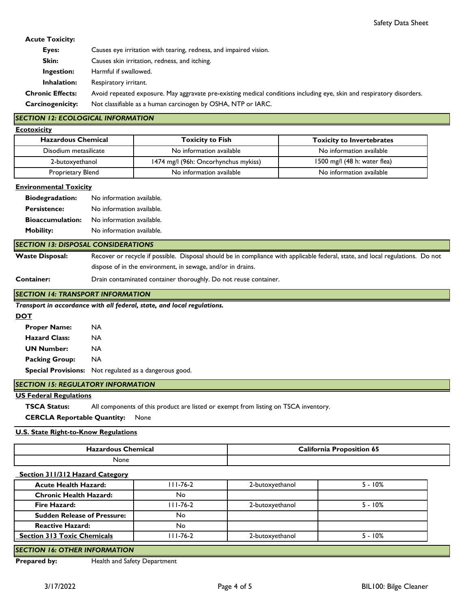## **Acute Toxicity:**

| Eyes:                   | Causes eye irritation with tearing, redness, and impaired vision.                                                     |
|-------------------------|-----------------------------------------------------------------------------------------------------------------------|
| Skin:                   | Causes skin irritation, redness, and itching.                                                                         |
| Ingestion:              | Harmful if swallowed.                                                                                                 |
| Inhalation:             | Respiratory irritant.                                                                                                 |
| <b>Chronic Effects:</b> | Avoid repeated exposure. May aggravate pre-existing medical conditions including eye, skin and respiratory disorders. |
| <b>Carcinogenicity:</b> | Not classifiable as a human carcinogen by OSHA, NTP or IARC.                                                          |

## *SECTION 12: ECOLOGICAL INFORMATION*

| Ecotoxicity |  |
|-------------|--|
|             |  |
|             |  |

| <b>Hazardous Chemical</b> | <b>Toxicity to Fish</b>              | <b>Toxicity to Invertebrates</b> |
|---------------------------|--------------------------------------|----------------------------------|
| Disodium metasilicate     | No information available             | No information available         |
| 2-butoxyethanol           | 1474 mg/l (96h: Oncorhynchus mykiss) | 1500 mg/l $(48 h: water flea)$   |
| Proprietary Blend         | No information available             | No information available         |

#### **Environmental Toxicity**

| <b>Biodegradation:</b>  | No information available. |
|-------------------------|---------------------------|
| <b>Persistence:</b>     | No information available. |
| <b>Bioaccumulation:</b> | No information available. |
| <b>Mobility:</b>        | No information available. |

### *SECTION 13: DISPOSAL CONSIDERATIONS*

**Waste Disposal:** Recover or recycle if possible. Disposal should be in compliance with applicable federal, state, and local regulations. Do not dispose of in the environment, in sewage, and/or in drains.

**Container:**

Drain contaminated container thoroughly. Do not reuse container.

### *SECTION 14: TRANSPORT INFORMATION*

*Transport in accordance with all federal, state, and local regulations.* 

### **DOT**

 **Proper Name:** NA  **Hazard Class:** NA  **UN Number:** NA  **Packing Group:** NA  **Special Provisions:** Not regulated as a dangerous good.

# *SECTION 15: REGULATORY INFORMATION*

### **US Federal Regulations**

 **TSCA Status:** All components of this product are listed or exempt from listing on TSCA inventory.

 **CERCLA Reportable Quantity:** None

### **U.S. State Right-to-Know Regulations**

| Chemical<br>Hazardous C | <b>Lalifornia</b><br><b>Proposition 65</b> |  |
|-------------------------|--------------------------------------------|--|
| None                    |                                            |  |

### **Section 311/312 Hazard Category**

| <b>Acute Health Hazard:</b>        | 111-76-2       | 2-butoxyethanol | $5 - 10%$ |
|------------------------------------|----------------|-----------------|-----------|
| <b>Chronic Health Hazard:</b>      | No             |                 |           |
| Fire Hazard:                       | $111 - 76 - 2$ | 2-butoxyethanol | $5 - 10%$ |
| <b>Sudden Release of Pressure:</b> | No             |                 |           |
| <b>Reactive Hazard:</b>            | No             |                 |           |
| <b>Section 313 Toxic Chemicals</b> | 111-76-2       | 2-butoxyethanol | $5 - 10%$ |
|                                    |                |                 |           |

# *SECTION 16: OTHER INFORMATION*

**Prepared by:** Health and Safety Department